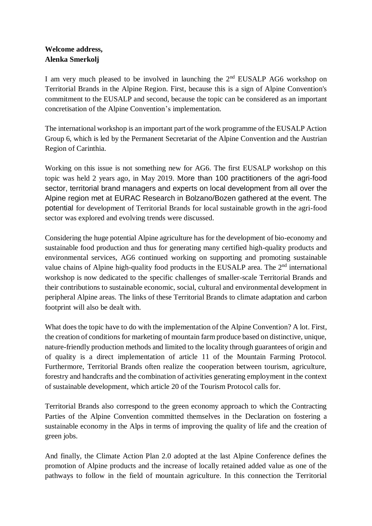## **Welcome address, Alenka Smerkolj**

I am very much pleased to be involved in launching the  $2<sup>nd</sup> EUSALP AG6$  workshop on Territorial Brands in the Alpine Region. First, because this is a sign of Alpine Convention's commitment to the EUSALP and second, because the topic can be considered as an important concretisation of the Alpine Convention's implementation.

The international workshop is an important part of the work programme of the EUSALP Action Group 6, which is led by the Permanent Secretariat of the Alpine Convention and the Austrian Region of Carinthia.

Working on this issue is not something new for AG6. The first EUSALP workshop on this topic was held 2 years ago, in May 2019. More than 100 practitioners of the agri-food sector, territorial brand managers and experts on local development from all over the Alpine region met at EURAC Research in Bolzano/Bozen gathered at the event. The potential for development of Territorial Brands for local sustainable growth in the agri-food sector was explored and evolving trends were discussed.

Considering the huge potential Alpine agriculture has for the development of bio-economy and sustainable food production and thus for generating many certified high-quality products and environmental services, AG6 continued working on supporting and promoting sustainable value chains of Alpine high-quality food products in the EUSALP area. The 2<sup>nd</sup> international workshop is now dedicated to the specific challenges of smaller-scale Territorial Brands and their contributions to sustainable economic, social, cultural and environmental development in peripheral Alpine areas. The links of these Territorial Brands to climate adaptation and carbon footprint will also be dealt with.

What does the topic have to do with the implementation of the Alpine Convention? A lot. First, the creation of conditions for marketing of mountain farm produce based on distinctive, unique, nature-friendly production methods and limited to the locality through guarantees of origin and of quality is a direct implementation of article 11 of the Mountain Farming Protocol. Furthermore, Territorial Brands often realize the cooperation between tourism, agriculture, forestry and handcrafts and the combination of activities generating employment in the context of sustainable development, which article 20 of the Tourism Protocol calls for.

Territorial Brands also correspond to the green economy approach to which the Contracting Parties of the Alpine Convention committed themselves in the Declaration on fostering a sustainable economy in the Alps in terms of improving the quality of life and the creation of green jobs.

And finally, the Climate Action Plan 2.0 adopted at the last Alpine Conference defines the promotion of Alpine products and the increase of locally retained added value as one of the pathways to follow in the field of mountain agriculture. In this connection the Territorial